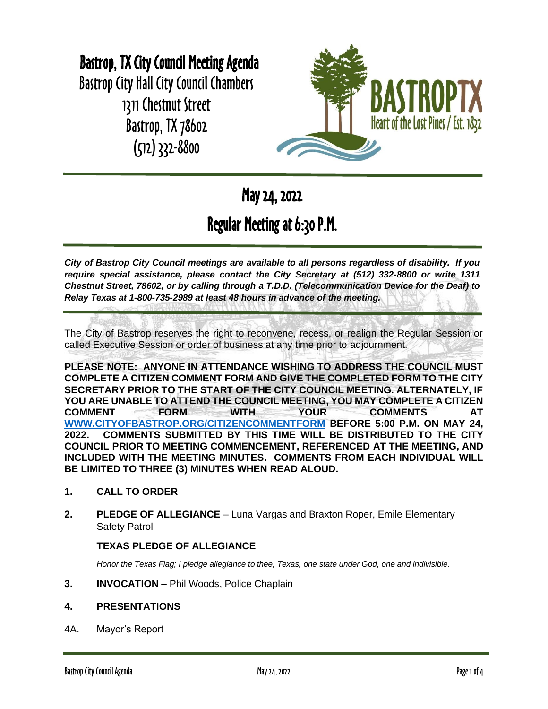# Bastrop, TX City Council Meeting Agenda

Bastrop City Hall City Council Chambers 1311 Chestnut Street Bastrop, TX 78602 (512) 332-8800



May 24, 2022

# Regular Meeting at 6:30 P.M.

*City of Bastrop City Council meetings are available to all persons regardless of disability. If you require special assistance, please contact the City Secretary at (512) 332-8800 or write 1311 Chestnut Street, 78602, or by calling through a T.D.D. (Telecommunication Device for the Deaf) to Relay Texas at 1-800-735-2989 at least 48 hours in advance of the meeting.*

The City of Bastrop reserves the right to reconvene, recess, or realign the Regular Session or called Executive Session or order of business at any time prior to adjournment.

**PLEASE NOTE: ANYONE IN ATTENDANCE WISHING TO ADDRESS THE COUNCIL MUST COMPLETE A CITIZEN COMMENT FORM AND GIVE THE COMPLETED FORM TO THE CITY SECRETARY PRIOR TO THE START OF THE CITY COUNCIL MEETING. ALTERNATELY, IF YOU ARE UNABLE TO ATTEND THE COUNCIL MEETING, YOU MAY COMPLETE A CITIZEN COMMENT FORM WITH YOUR COMMENTS AT [WWW.CITYOFBASTROP.ORG/CITIZENCOMMENTFORM](http://www.cityofbastrop.org/CITIZENCOMMENTFORM) BEFORE 5:00 P.M. ON MAY 24, 2022. COMMENTS SUBMITTED BY THIS TIME WILL BE DISTRIBUTED TO THE CITY COUNCIL PRIOR TO MEETING COMMENCEMENT, REFERENCED AT THE MEETING, AND INCLUDED WITH THE MEETING MINUTES. COMMENTS FROM EACH INDIVIDUAL WILL BE LIMITED TO THREE (3) MINUTES WHEN READ ALOUD.**

- **1. CALL TO ORDER**
- **2. PLEDGE OF ALLEGIANCE** Luna Vargas and Braxton Roper, Emile Elementary Safety Patrol

# **TEXAS PLEDGE OF ALLEGIANCE**

*Honor the Texas Flag; I pledge allegiance to thee, Texas, one state under God, one and indivisible.*

**3. INVOCATION** – Phil Woods, Police Chaplain

# **4. PRESENTATIONS**

4A. Mayor's Report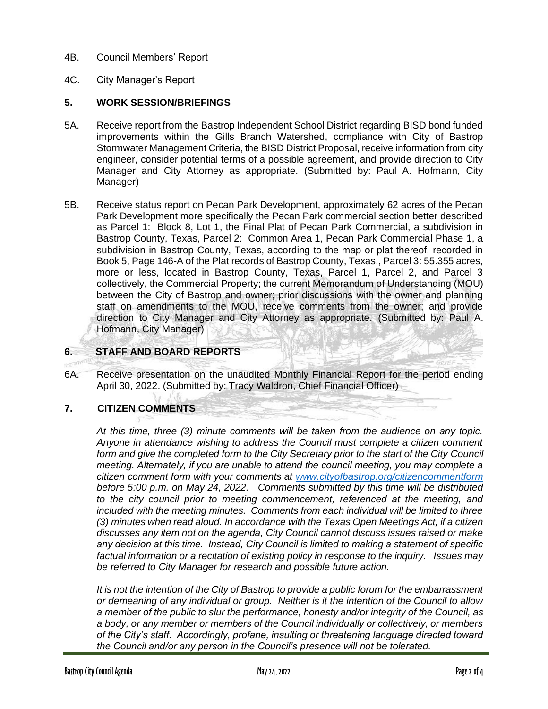- 4B. Council Members' Report
- 4C. City Manager's Report

#### **5. WORK SESSION/BRIEFINGS**

- 5A. Receive report from the Bastrop Independent School District regarding BISD bond funded improvements within the Gills Branch Watershed, compliance with City of Bastrop Stormwater Management Criteria, the BISD District Proposal, receive information from city engineer, consider potential terms of a possible agreement, and provide direction to City Manager and City Attorney as appropriate. (Submitted by: Paul A. Hofmann, City Manager)
- 5B. Receive status report on Pecan Park Development, approximately 62 acres of the Pecan Park Development more specifically the Pecan Park commercial section better described as Parcel 1: Block 8, Lot 1, the Final Plat of Pecan Park Commercial, a subdivision in Bastrop County, Texas, Parcel 2: Common Area 1, Pecan Park Commercial Phase 1, a subdivision in Bastrop County, Texas, according to the map or plat thereof, recorded in Book 5, Page 146-A of the Plat records of Bastrop County, Texas., Parcel 3: 55.355 acres, more or less, located in Bastrop County, Texas, Parcel 1, Parcel 2, and Parcel 3 collectively, the Commercial Property; the current Memorandum of Understanding (MOU) between the City of Bastrop and owner; prior discussions with the owner and planning staff on amendments to the MOU, receive comments from the owner; and provide direction to City Manager and City Attorney as appropriate. (Submitted by: Paul A. Hofmann, City Manager)

# **6. STAFF AND BOARD REPORTS**

6A. Receive presentation on the unaudited Monthly Financial Report for the period ending April 30, 2022. (Submitted by: Tracy Waldron, Chief Financial Officer)

#### **7. CITIZEN COMMENTS**

*At this time, three (3) minute comments will be taken from the audience on any topic. Anyone in attendance wishing to address the Council must complete a citizen comment form and give the completed form to the City Secretary prior to the start of the City Council meeting. Alternately, if you are unable to attend the council meeting, you may complete a citizen comment form with your comments at [www.cityofbastrop.org/citizencommentform](http://www.cityofbastrop.org/CITIZENCOMMENTFORM) before 5:00 p.m. on May 24, 2022. Comments submitted by this time will be distributed to the city council prior to meeting commencement, referenced at the meeting, and included with the meeting minutes. Comments from each individual will be limited to three (3) minutes when read aloud. In accordance with the Texas Open Meetings Act, if a citizen discusses any item not on the agenda, City Council cannot discuss issues raised or make any decision at this time. Instead, City Council is limited to making a statement of specific factual information or a recitation of existing policy in response to the inquiry. Issues may be referred to City Manager for research and possible future action.*

*It is not the intention of the City of Bastrop to provide a public forum for the embarrassment or demeaning of any individual or group. Neither is it the intention of the Council to allow a member of the public to slur the performance, honesty and/or integrity of the Council, as a body, or any member or members of the Council individually or collectively, or members of the City's staff. Accordingly, profane, insulting or threatening language directed toward the Council and/or any person in the Council's presence will not be tolerated.*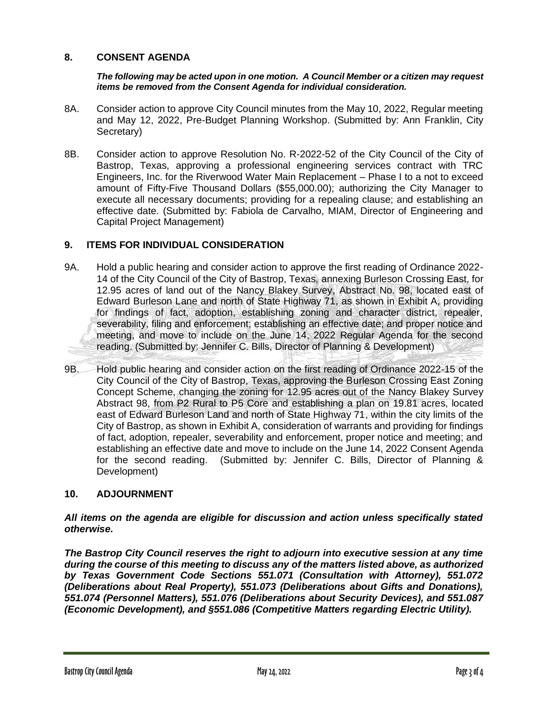### **8. CONSENT AGENDA**

#### *The following may be acted upon in one motion. A Council Member or a citizen may request items be removed from the Consent Agenda for individual consideration.*

- 8A. Consider action to approve City Council minutes from the May 10, 2022, Regular meeting and May 12, 2022, Pre-Budget Planning Workshop. (Submitted by: Ann Franklin, City Secretary)
- 8B. Consider action to approve Resolution No. R-2022-52 of the City Council of the City of Bastrop, Texas, approving a professional engineering services contract with TRC Engineers, Inc. for the Riverwood Water Main Replacement – Phase I to a not to exceed amount of Fifty-Five Thousand Dollars (\$55,000.00); authorizing the City Manager to execute all necessary documents; providing for a repealing clause; and establishing an effective date. (Submitted by: Fabiola de Carvalho, MIAM, Director of Engineering and Capital Project Management)

# **9. ITEMS FOR INDIVIDUAL CONSIDERATION**

- 9A. Hold a public hearing and consider action to approve the first reading of Ordinance 2022- 14 of the City Council of the City of Bastrop, Texas, annexing Burleson Crossing East, for 12.95 acres of land out of the Nancy Blakey Survey, Abstract No. 98, located east of Edward Burleson Lane and north of State Highway 71, as shown in Exhibit A, providing for findings of fact, adoption, establishing zoning and character district, repealer, severability, filing and enforcement; establishing an effective date; and proper notice and meeting, and move to include on the June 14, 2022 Regular Agenda for the second reading. (Submitted by: Jennifer C. Bills, Director of Planning & Development)
- 9B. Hold public hearing and consider action on the first reading of Ordinance 2022-15 of the City Council of the City of Bastrop, Texas, approving the Burleson Crossing East Zoning Concept Scheme, changing the zoning for 12.95 acres out of the Nancy Blakey Survey Abstract 98, from P2 Rural to P5 Core and establishing a plan on 19.81 acres, located east of Edward Burleson Land and north of State Highway 71, within the city limits of the City of Bastrop, as shown in Exhibit A, consideration of warrants and providing for findings of fact, adoption, repealer, severability and enforcement, proper notice and meeting; and establishing an effective date and move to include on the June 14, 2022 Consent Agenda for the second reading. (Submitted by: Jennifer C. Bills, Director of Planning & Development)

#### **10. ADJOURNMENT**

#### *All items on the agenda are eligible for discussion and action unless specifically stated otherwise.*

*The Bastrop City Council reserves the right to adjourn into executive session at any time during the course of this meeting to discuss any of the matters listed above, as authorized by Texas Government Code Sections 551.071 (Consultation with Attorney), 551.072 (Deliberations about Real Property), 551.073 (Deliberations about Gifts and Donations), 551.074 (Personnel Matters), 551.076 (Deliberations about Security Devices), and 551.087 (Economic Development), and §551.086 (Competitive Matters regarding Electric Utility).*